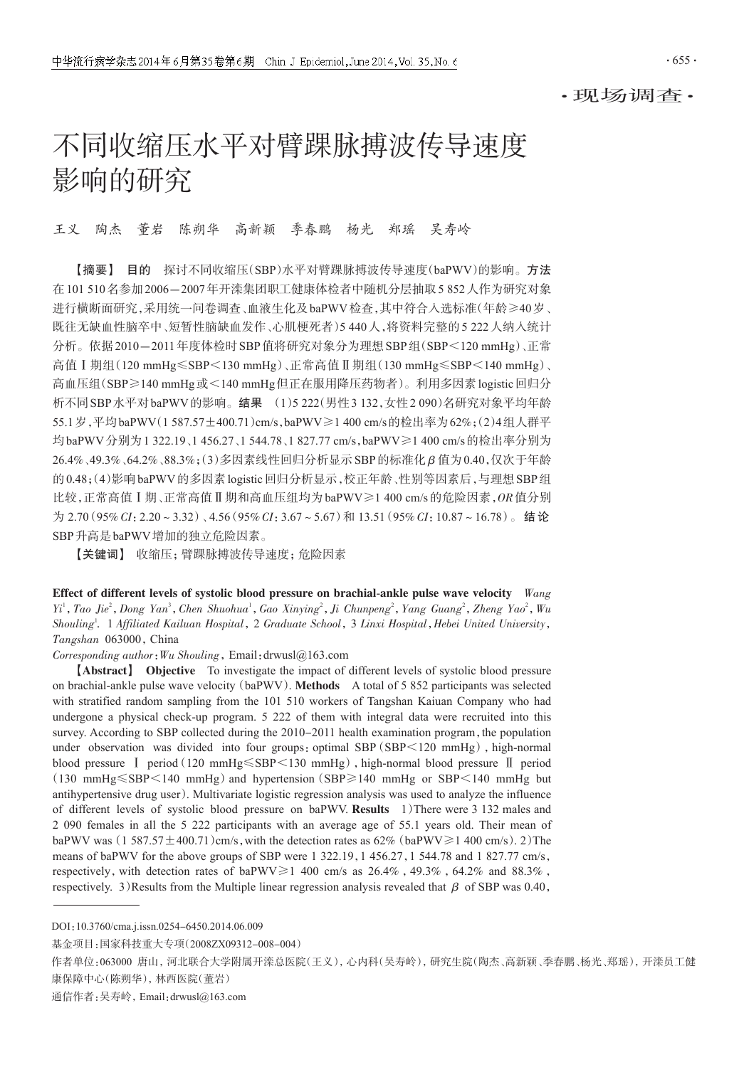# 不同收缩压水平对臂踝脉搏波传导速度 影响的研究

王义 陶杰 董岩 陈朔华 高新颖 季春鹏 杨光 郑瑶 吴寿岭

【摘要】 目的 探讨不同收缩压(SBP)水平对臂踝脉搏波传导速度(baPWV)的影响。方法 在101 510名参加2006-2007年开滦集团职工健康体检者中随机分层抽取5 852人作为研究对象 进行横断面研究,采用统一问卷调查、血液生化及baPWV检查,其中符合入选标准(年龄≥40岁、 既往无缺血性脑卒中、短暂性脑缺血发作、心肌梗死者)5 440人,将资料完整的5 222人纳入统计 分析。依据2010-2011年度体检时SBP值将研究对象分为理想SBP组(SBP<120 mmHg)、正常 高值Ⅰ期组(120 mmHg≤SBP<130 mmHg)、正常高值Ⅱ期组(130 mmHg≤SBP<140 mmHg)、 高血压组(SBP≥140 mmHg或<140 mmHg但正在服用降压药物者)。利用多因素logistic回归分 析不同SBP水平对baPWV的影响。结果 (1)5 222(男性3 132,女性2 090)名研究对象平均年龄 55.1岁,平均baPWV(1 587.57±400.71)cm/s,baPWV≥1 400 cm/s的检出率为62%;(2)4组人群平 均baPWV分别为1 322.19、1 456.27、1 544.78、1 827.77 cm/s,baPWV≥1 400 cm/s的检出率分别为 26.4%、49.3%、64.2%、88.3%;(3)多因素线性回归分析显示SBP的标准化 β 值为0.40,仅次于年龄 的0.48;(4)影响baPWV的多因素logistic回归分析显示,校正年龄、性别等因素后,与理想SBP组 比较,正常高值Ⅰ期、正常高值Ⅱ期和高血压组均为baPWV≥1 400 cm/s的危险因素,OR值分别 为 2.70(95% CI: 2.20~3.32)、4.56(95% CI: 3.67~5.67)和 13.51(95% CI: 10.87~16.78)。结论 SBP升高是baPWV增加的独立危险因素。

【关键词】 收缩压;臂踝脉搏波传导速度;危险因素

Effect of different levels of systolic blood pressure on brachial-ankle pulse wave velocity Wang Yi<sup>1</sup>, Tao Jie<sup>2</sup>, Dong Yan<sup>3</sup>, Chen Shuohua<sup>1</sup>, Gao Xinying<sup>2</sup>, Ji Chunpeng<sup>2</sup>, Yang Guang<sup>2</sup>, Zheng Yao<sup>2</sup>, Wu Shouling<sup>1</sup>. 1 Affiliated Kailuan Hospital, 2 Graduate School, 3 Linxi Hospital, Hebei United University, Tangshan 063000, China

Corresponding author:Wu Shouling,Email:drwusl@163.com

【Abstract】 Objective To investigate the impact of different levels of systolic blood pressure on brachial-ankle pulse wave velocity(baPWV). Methods A total of 5 852 participants was selected with stratified random sampling from the 101 510 workers of Tangshan Kaiuan Company who had undergone a physical check-up program. 5 222 of them with integral data were recruited into this survey. According to SBP collected during the 2010-2011 health examination program, the population under observation was divided into four groups: optimal SBP (SBP<120 mmHg), high-normal blood pressure Ⅰ period(120 mmHg≤SBP<130 mmHg),high-normal blood pressure Ⅱ period  $(130 \text{ mmHg} \leq SBP < 140 \text{ mmHg})$  and hypertension (SBP $\geq$ 140 mmHg or SBP $\leq$ 140 mmHg but antihypertensive drug user). Multivariate logistic regression analysis was used to analyze the influence of different levels of systolic blood pressure on baPWV. Results 1)There were 3 132 males and 2 090 females in all the 5 222 participants with an average age of 55.1 years old. Their mean of baPWV was (1 587.57  $\pm$  400.71)cm/s, with the detection rates as 62% (baPWV $\geq$  1 400 cm/s). 2) The means of baPWV for the above groups of SBP were 1 322.19, 1 456.27, 1 544.78 and 1 827.77 cm/s, respectively, with detection rates of baPWV $\geq 1$  400 cm/s as 26.4%, 49.3%, 64.2% and 88.3%, respectively. 3)Results from the Multiple linear regression analysis revealed that  $β$  of SBP was 0.40,

DOI:10.3760/cma.j.issn.0254-6450.2014.06.009

基金项目:国家科技重大专项(2008ZX09312-008-004)

作者单位:063000 唐山,河北联合大学附属开滦总医院(王义),心内科(吴寿岭),研究生院(陶杰、高新颖、季春鹏、杨光、郑瑶),开滦员工健 康保障中心(陈朔华),林西医院(董岩)

通信作者:吴寿岭,Email:drwusl@163.com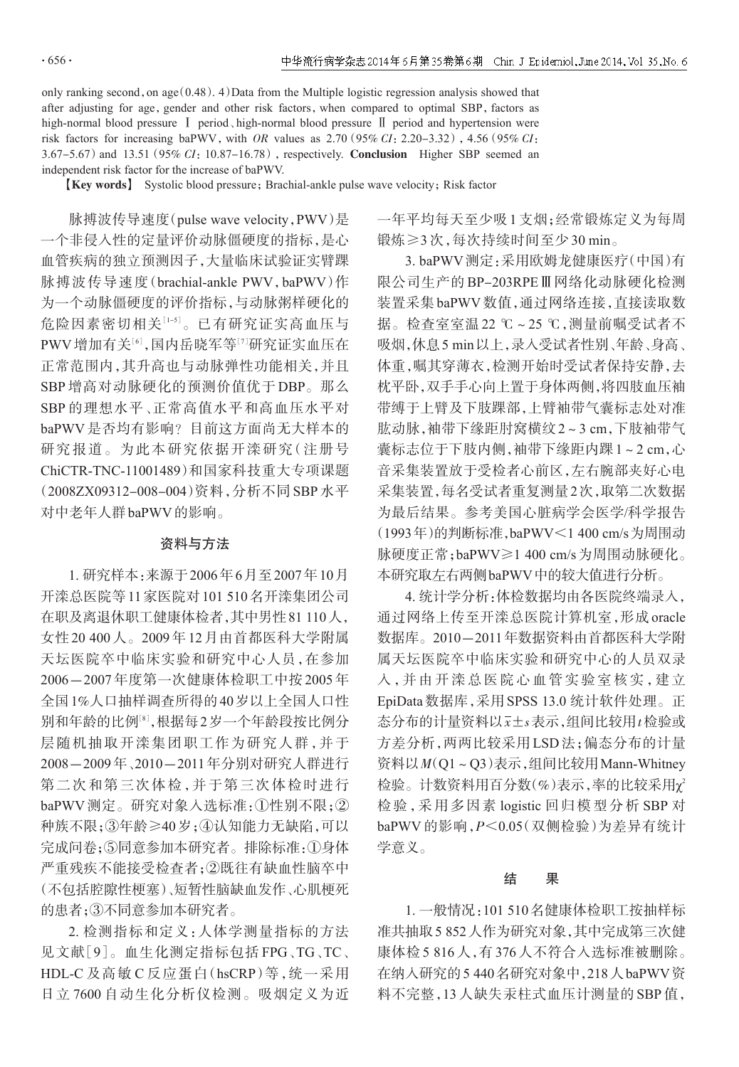only ranking second, on age  $(0.48)$ . 4) Data from the Multiple logistic regression analysis showed that after adjusting for age, gender and other risk factors, when compared to optimal SBP, factors as high-normal blood pressure Ⅰ period、high-normal blood pressure Ⅱ period and hypertension were risk factors for increasing baPWV, with OR values as  $2.70(95\% CI; 2.20-3.32)$ , 4.56( $95\% CI$ ; 3.67-5.67) and 13.51 (95% CI: 10.87-16.78), respectively. Conclusion Higher SBP seemed an independent risk factor for the increase of baPWV.

**[Key words]** Systolic blood pressure; Brachial-ankle pulse wave velocity; Risk factor

脉搏波传导速度(pulse wave velocity,PWV)是 一个非侵入性的定量评价动脉僵硬度的指标,是心 血管疾病的独立预测因子,大量临床试验证实臂踝 脉搏波传导速度(brachial-ankle PWV,baPWV)作 为一个动脉僵硬度的评价指标,与动脉粥样硬化的 危险因素密切相关:「。」已有研究证实高血压与 PWV 增加有关<sup>[6]</sup>,国内岳晓军等<sup>[7]</sup>研究证实血压在 正常范围内,其升高也与动脉弹性功能相关,并且 SBP 增高对动脉硬化的预测价值优于 DBP。那么 SBP 的理想水平、正常高值水平和高血压水平对 baPWV 是否均有影响?目前这方面尚无大样本的 研究报道。为此本研究依据开滦研究(注册号 ChiCTR-TNC-11001489)和国家科技重大专项课题 (2008ZX09312-008-004)资料,分析不同 SBP 水平 对中老年人群baPWV的影响。

### 资料与方法

1. 研究样本:来源于2006年6月至2007年10月 开滦总医院等11家医院对101 510名开滦集团公司 在职及离退休职工健康体检者,其中男性81 110人, 女性20 400人。2009年12月由首都医科大学附属 天坛医院卒中临床实验和研究中心人员,在参加 2006-2007 年度第一次健康体检职工中按 2005 年 全国1%人口抽样调查所得的40岁以上全国人口性 别和年龄的比例<sup>[8]</sup>,根据每2岁一个年龄段按比例分 层随机抽取开滦集团职工作为研究人群,并于 2008-2009年、2010-2011年分别对研究人群进行 第二次和第三次体检,并于第三次体检时进行 baPWV 测定。研究对象入选标准:①性别不限;② 种族不限;③年龄≥40岁;④认知能力无缺陷,可以 完成问卷;⑤同意参加本研究者。排除标准:①身体 严重残疾不能接受检查者;②既往有缺血性脑卒中 (不包括腔隙性梗塞)、短暂性脑缺血发作、心肌梗死 的患者;③不同意参加本研究者。

2. 检测指标和定义:人体学测量指标的方法 见文献[9]。血生化测定指标包括 FPG、TG、TC、 HDL-C 及高敏 C 反应蛋白(hsCRP)等,统一采用 日立 7600 自动生化分析仪检测。吸烟定义为近

一年平均每天至少吸1支烟;经常锻炼定义为每周 锻炼≥3 次,每次持续时间至少 30 min。

3. baPWV测定:采用欧姆龙健康医疗(中国)有 限公司生产的 BP-203RPEⅢ网络化动脉硬化检测 装置采集baPWV数值,通过网络连接,直接读取数 据。检查室室温 22 ℃~25 ℃,测量前嘱受试者不 吸烟,休息5 min以上,录入受试者性别、年龄、身高、 体重,嘱其穿薄衣,检测开始时受试者保持安静,去 枕平卧,双手手心向上置于身体两侧,将四肢血压袖 带缚于上臂及下肢踝部,上臂袖带气囊标志处对准 肱动脉,袖带下缘距肘窝横纹2~3 cm,下肢袖带气 囊标志位于下肢内侧,袖带下缘距内踝1~2 cm,心 音采集装置放于受检者心前区,左右腕部夹好心电 采集装置,每名受试者重复测量2次,取第二次数据 为最后结果。参考美国心脏病学会医学/科学报告 (1993年)的判断标准,baPWV<1 400 cm/s为周围动 脉硬度正常;baPWV≥1 400 cm/s为周围动脉硬化。 本研究取左右两侧baPWV中的较大值进行分析。

4. 统计学分析:体检数据均由各医院终端录入, 通过网络上传至开滦总医院计算机室,形成 oracle 数据库。2010-2011年数据资料由首都医科大学附 属天坛医院卒中临床实验和研究中心的人员双录 入,并由开滦总医院心血管实验室核实,建立 EpiData数据库,采用SPSS 13.0 统计软件处理。正 态分布的计量资料以x±s表示,组间比较用t检验或 方差分析,两两比较采用 LSD 法;偏态分布的计量 资料以 $M(O1 \sim Q3)$ 表示,组间比较用Mann-Whitney 检验。计数资料用百分数(%)表示,率的比较采用χ2 检验,采用多因素 logistic 回归模型分析 SBP 对 baPWV 的影响,P<0.05(双侧检验)为差异有统计 学意义。

### 结 果

1. 一般情况:101 510名健康体检职工按抽样标 准共抽取5 852人作为研究对象,其中完成第三次健 康体检 5 816 人,有 376 人不符合入选标准被删除。 在纳入研究的5 440名研究对象中,218人baPWV资 料不完整,13 人缺失汞柱式血压计测量的 SBP 值,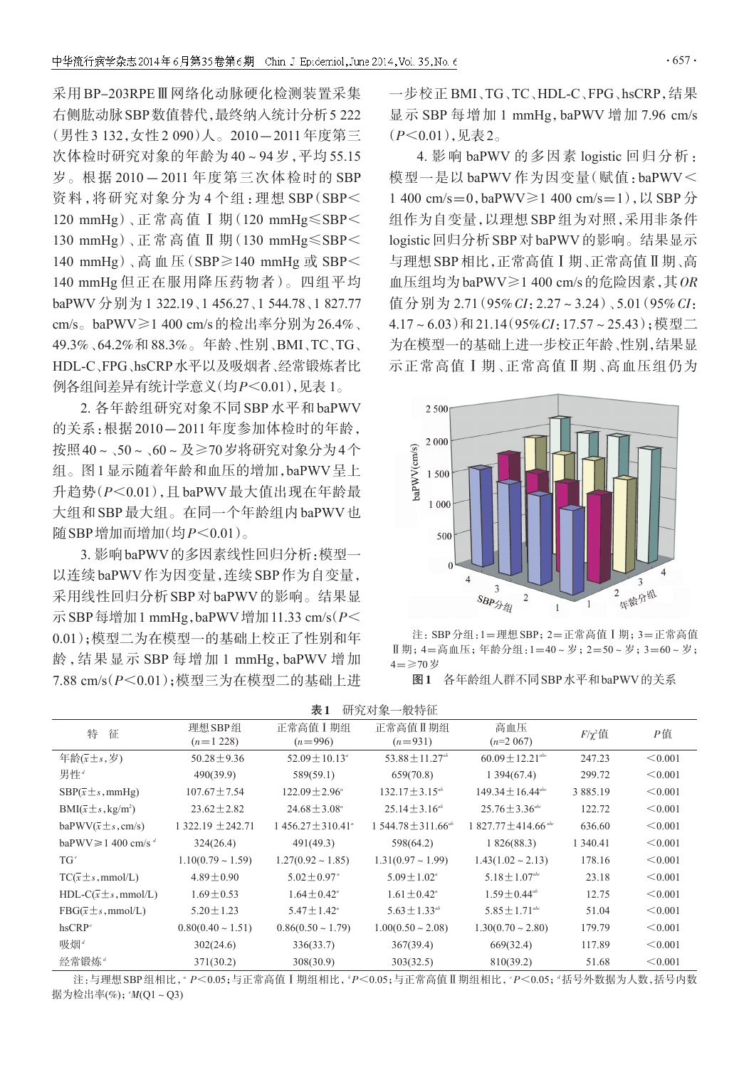采用 BP-203RPEⅢ网络化动脉硬化检测装置采集 右侧肱动脉SBP数值替代,最终纳入统计分析5 222 (男性 3 132,女性 2 090)人。2010-2011 年度第三 次体检时研究对象的年龄为 40~94 岁,平均 55.15 岁。根据 2010-2011 年度第三次体检时的 SBP 资料,将研究对象分为 4 个组:理想 SBP(SBP< 120 mmHg)、正 常 高 值 Ⅰ 期(120 mmHg≤SBP< 130 mmHg)、正 常 高 值 Ⅱ 期(130 mmHg≤SBP< 140 mmHg)、高血压(SBP≥140 mmHg 或 SBP< 140 mmHg 但正在服用降压药物者)。四组平均 baPWV 分别为 1 322.19、1 456.27、1 544.78、1 827.77 cm/s。baPWV≥1 400 cm/s的检出率分别为26.4%、 49.3%、64.2%和 88.3%。年龄、性别、BMI、TC、TG、 HDL-C、FPG、hsCRP水平以及吸烟者、经常锻炼者比 例各组间差异有统计学意义(均P<0.01),见表 1。

2. 各年龄组研究对象不同 SBP 水平和 baPWV 的关系:根据 2010-2011 年度参加体检时的年龄, 按照40~、50~、60~及≥70岁将研究对象分为4个 组。图1显示随着年龄和血压的增加,baPWV呈上 升趋势(P<0.01),且 baPWV 最大值出现在年龄最 大组和SBP最大组。在同一个年龄组内baPWV也 隨SBP增加而增加 $(\text{5D}P<0.01)$ 。

3. 影响baPWV的多因素线性回归分析:模型一 以连续baPWV作为因变量,连续SBP作为自变量, 采用线性回归分析SBP对baPWV的影响。结果显 示 SBP 每增加 1 mmHg, baPWV 增加 11.33 cm/s( $P$ < 0.01);模型二为在模型一的基础上校正了性别和年 龄,结果显示 SBP 每增加 1 mmHg,baPWV 增加 7.88 cm/s(P<0.01);模型三为在模型二的基础上进 一步校正 BMI、TG、TC、HDL-C、FPG、hsCRP,结果 显示 SBP 每增加 1 mmHg, baPWV 增加 7.96 cm/s  $(P<0.01)$ ,见表2。

4. 影响 baPWV 的多因素 logistic 回归分析: 模型一是以 baPWV 作为因变量(赋值:baPWV< 1 400 cm/s=0,baPWV≥1 400 cm/s=1),以 SBP 分 组作为自变量,以理想 SBP 组为对照,采用非条件 logistic回归分析SBP对baPWV的影响。结果显示 与理想SBP相比,正常高值Ⅰ期、正常高值Ⅱ期、高 血压组均为baPWV≥1 400 cm/s的危险因素,其OR 值分别为 2.71 (95% CI: 2.27~3.24) 、5.01 (95% CI:  $4.17 \sim 6.03$ )和 21.14(95% $CI$ :17.57~25.43);模型二 为在模型一的基础上进一步校正年龄、性别,结果显 示正常高值Ⅰ期、正常高值Ⅱ期、高血压组仍为



注:SBP分组:1=理想SBP;2=正常高值Ⅰ期;3=正常高值 Ⅱ期;4=高血压;年龄分组:1=40~岁;2=50~岁;3=60~岁; 4=≥70岁

图1 各年龄组人群不同SBP水平和baPWV的关系

| 表1<br>研究对象一般特征 |
|----------------|
|                |

| 特<br>征                                   | 理想 SBP 组<br>$(n=1228)$ | 正常高值 I 期组<br>$(n=996)$       | 正常高值Ⅱ期组<br>$(n=931)$            | 高血压<br>$(n=2067)$                | $F/\chi^2$ 值 | $P$ 值   |
|------------------------------------------|------------------------|------------------------------|---------------------------------|----------------------------------|--------------|---------|
| 年龄 $(x \pm s, \mathcal{B})$              | $50.28 \pm 9.36$       | $52.09 \pm 10.13^{\circ}$    | $53.88 \pm 11.27$ <sup>ab</sup> | $60.09 \pm 12.21$ <sup>abc</sup> | 247.23       | < 0.001 |
| 男性"                                      | 490(39.9)              | 589(59.1)                    | 659(70.8)                       | 1394(67.4)                       | 299.72       | < 0.001 |
| $SBP(\bar{x} \pm s, \text{mmHg})$        | $107.67 \pm 7.54$      | $122.09 \pm 2.96^{\circ}$    | $132.17 \pm 3.15^{ab}$          | $149.34 \pm 16.44^{\text{abc}}$  | 3 885.19     | < 0.001 |
| $BMI(\overline{x} \pm s, kg/m^2)$        | $23.62 \pm 2.82$       | $24.68 \pm 3.08^{\circ}$     | $25.14 \pm 3.16^{ab}$           | $25.76 \pm 3.36^{abc}$           | 122.72       | < 0.001 |
| $baPWV(\overline{x} \pm s, \text{cm/s})$ | $1322.19 \pm 242.71$   | $1456.27 \pm 310.41^{\circ}$ | $1.544.78 \pm 311.66^{ab}$      | $1827.77 \pm 414.66$ abc         | 636.60       | < 0.001 |
| baPWV $\geq 1$ 400 cm/s <sup>d</sup>     | 324(26.4)              | 491(49.3)                    | 598(64.2)                       | 1826(88.3)                       | 1 340.41     | < 0.001 |
| $T G^e$                                  | $1.10(0.79 \sim 1.59)$ | $1.27(0.92 \sim 1.85)$       | $1.31(0.97 \sim 1.99)$          | $1.43(1.02 \sim 2.13)$           | 178.16       | < 0.001 |
| $TC(\bar{x} \pm s, \text{mmol/L})$       | $4.89 \pm 0.90$        | $5.02 \pm 0.97$ <sup>a</sup> | $5.09 \pm 1.02^{\circ}$         | $5.18 \pm 1.07^{abc}$            | 23.18        | < 0.001 |
| $HDL-C(\bar{x}\pm s,mmol/L)$             | $1.69 \pm 0.53$        | $1.64 \pm 0.42^{\circ}$      | $1.61 \pm 0.42^{\circ}$         | $1.59 \pm 0.44$ <sup>ab</sup>    | 12.75        | < 0.001 |
| $FBG(\bar{x} \pm s, \text{mmol/L})$      | $5.20 \pm 1.23$        | $5.47 \pm 1.42^{\circ}$      | $5.63 \pm 1.33^{ab}$            | $5.85 \pm 1.71^{abc}$            | 51.04        | < 0.001 |
| $h$ s $CRP^c$                            | $0.80(0.40 \sim 1.51)$ | $0.86(0.50 \sim 1.79)$       | $1.00(0.50 - 2.08)$             | $1.30(0.70 \sim 2.80)$           | 179.79       | < 0.001 |
| 吸烟 <sup>。</sup>                          | 302(24.6)              | 336(33.7)                    | 367(39.4)                       | 669(32.4)                        | 117.89       | < 0.001 |
| 经常锻炼 <sup>。</sup>                        | 371(30.2)              | 308(30.9)                    | 303(32.5)                       | 810(39.2)                        | 51.68        | < 0.001 |

注:与理想 SBP 组相比, " *P<*0.05;与正常高值Ⅰ期组相比, "*P<*0.05;与正常高值Ⅱ期组相比, "*P<*0.05; "括号外数据为人数,括号内数 据为检出率(%);<sup>e</sup> M(Q1~Q3)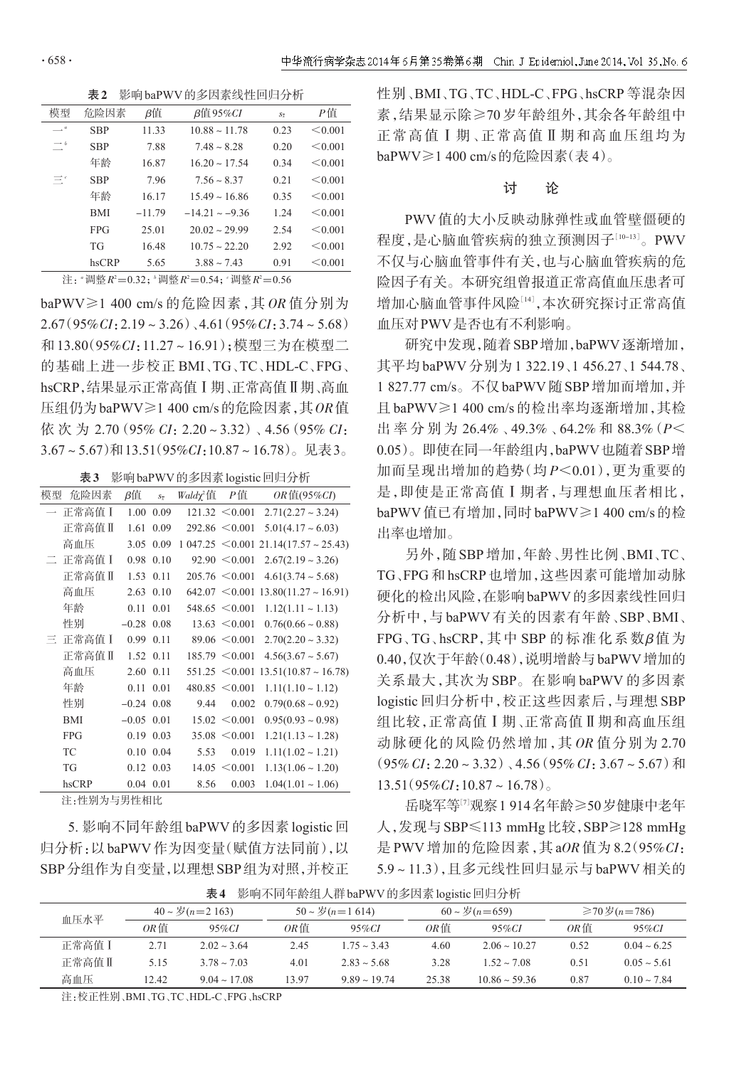表2 影响baPWV的多因素线性回归分析

| 模型                             | 危险因素       | β值       | $\beta$ 值95% $CI$     | $S_{\overline{x}}$ | Р值      |
|--------------------------------|------------|----------|-----------------------|--------------------|---------|
| $\longrightarrow$ <sup>a</sup> | <b>SBP</b> | 11.33    | $10.88 \sim 11.78$    | 0.23               | < 0.001 |
| $\rightarrow b$                | <b>SBP</b> | 7.88     | $7.48 \sim 8.28$      | 0.20               | < 0.001 |
|                                | 年龄         | 16.87    | $16.20 \approx 17.54$ | 0.34               | < 0.001 |
| Ξ°                             | <b>SBP</b> | 7.96     | $7.56 \sim 8.37$      | 0.21               | < 0.001 |
|                                | 年龄         | 16.17    | $15.49 \sim 16.86$    | 0.35               | < 0.001 |
|                                | <b>BMI</b> | $-11.79$ | $-14.21 - -9.36$      | 1.24               | < 0.001 |
|                                | <b>FPG</b> | 25.01    | $20.02 \approx 29.99$ | 2.54               | < 0.001 |
|                                | TG         | 16.48    | $10.75 \approx 22.20$ | 2.92               | < 0.001 |
|                                | hsCRP      | 5.65     | $3.88 \sim 7.43$      | 0.91               | < 0.001 |

注: "调整 $R^2$ =0.32; "调整 $R^2$ =0.54; "调整 $R^2$ =0.56

baPWV≥1 400 cm/s 的危险因素,其 OR 值分别为  $2.67(95\% CI: 2.19 \sim 3.26)$ ,  $4.61(95\% CI: 3.74 \sim 5.68)$ 和13.80(95%CI:11.27~16.91);模型三为在模型二 的基础上进一步校正 BMI、TG、TC、HDL-C、FPG、 hsCRP,结果显示正常高值Ⅰ期、正常高值Ⅱ期、高血 压组仍为baPWV≥1 400 cm/s的危险因素,其OR值 依 次 为 2.70(95% CI:2.20~3.32)、4.56(95% CI:  $3.67 \sim 5.67$ )和13.51(95% $CI:10.87 \sim 16.78$ )。见表3。

| 表3 |  | 影响baPWV的多因素logistic回归分析 |
|----|--|-------------------------|
|----|--|-------------------------|

| 模型 | 危险因素                                                                                                | β值           | $S_{\overline{x}}$ | Waldy <sup>2</sup> 值 | Р值                 | $OR$ 值(95%CI)             |
|----|-----------------------------------------------------------------------------------------------------|--------------|--------------------|----------------------|--------------------|---------------------------|
|    | 正常高值 I                                                                                              | 1.00         | 0.09               |                      | $121.32 \le 0.001$ | $2.71(2.27 - 3.24)$       |
|    | 正常高值Ⅱ                                                                                               | 1.61         | 0.09               |                      | $292.86 \le 0.001$ | $5.01(4.17 - 6.03)$       |
|    | 高血压                                                                                                 | 3.05         | 0.09               | $1047.25 \le 0.001$  |                    | $21.14(17.57 \sim 25.43)$ |
| Ξ. | 正常高值 I                                                                                              |              | 0.98 0.10          |                      | $92.90 \le 0.001$  | $2.67(2.19 - 3.26)$       |
|    | 正常高值Ⅱ                                                                                               |              | 1.53 0.11          |                      | $205.76 \le 0.001$ | $4.61(3.74 \sim 5.68)$    |
|    | 高血压                                                                                                 |              | 2.63 0.10          |                      | $642.07 \le 0.001$ | $13.80(11.27 \sim 16.91)$ |
|    | 年龄                                                                                                  | 0.11         | 0.01               |                      | $548.65 \le 0.001$ | $1.12(1.11 \sim 1.13)$    |
|    | 性别                                                                                                  | $-0.28$ 0.08 |                    |                      | $13.63 \le 0.001$  | $0.76(0.66 \sim 0.88)$    |
| E. | 正常高值 I                                                                                              |              | 0.99 0.11          |                      | $89.06 \le 0.001$  | $2.70(2.20 - 3.32)$       |
|    | 正常高值Ⅱ                                                                                               |              | 1.52 0.11          |                      | $185.79 \le 0.001$ | $4.56(3.67 \sim 5.67)$    |
|    | 高血压                                                                                                 | 2.60 0.11    |                    |                      | $551.25 \le 0.001$ | $13.51(10.87 \sim 16.78)$ |
|    | 年龄                                                                                                  | 0.11         | 0.01               |                      | $480.85 \le 0.001$ | $1.11(1.10 \sim 1.12)$    |
|    | 性别                                                                                                  | $-0.24$ 0.08 |                    | 9.44                 | 0.002              | $0.79(0.68 \sim 0.92)$    |
|    | <b>BMI</b>                                                                                          | $-0.05$ 0.01 |                    |                      | $15.02 \le 0.001$  | $0.95(0.93 \sim 0.98)$    |
|    | <b>FPG</b>                                                                                          |              | $0.19$ 0.03        |                      | $35.08 \le 0.001$  | $1.21(1.13 \sim 1.28)$    |
|    | TC                                                                                                  |              | 0.10 0.04          | 5.53                 | 0.019              | $1.11(1.02 \sim 1.21)$    |
|    | TG                                                                                                  |              | $0.12 \quad 0.03$  |                      | $14.05 \le 0.001$  | $1.13(1.06 \sim 1.20)$    |
|    | hsCRP                                                                                               |              | $0.04$ $0.01$      | 8.56                 | 0.003              | $1.04(1.01 \sim 1.06)$    |
|    | $1.1$ $\leftrightarrow$ $1.1$ $\rightarrow$ $\leftrightarrow$ $1.1$ $\rightarrow$ $\rightarrow$ $1$ |              |                    |                      |                    |                           |

注:性别为与男性相比

5. 影响不同年龄组baPWV的多因素logistic回 归分析:以baPWV作为因变量(赋值方法同前),以 SBP分组作为自变量,以理想SBP组为对照,并校正 性别、BMI、TG、TC、HDL-C、FPG、hsCRP 等混杂因 素,结果显示除≥70 岁年龄组外,其余各年龄组中 正常高值Ⅰ期、正常高值Ⅱ期和高血压组均为 baPWV≥1 400 cm/s的危险因素(表 4)。

#### 讨 论

PWV 值的大小反映动脉弹性或血管壁僵硬的 程度,是心脑血管疾病的独立预测因子[10-13]。PWV 不仅与心脑血管事件有关,也与心脑血管疾病的危 险因子有关。本研究组曾报道正常高值血压患者可 增加心脑血管事件风险[14],本次研究探讨正常高值 血压对PWV是否也有不利影响。

研究中发现,随着SBP增加,baPWV逐渐增加, 其平均 baPWV 分别为 1 322.19、1 456.27、1 544.78、 1 827.77 cm/s。不仅baPWV随SBP增加而增加,并 且 baPWV≥1 400 cm/s 的检出率均逐渐增加,其检 出 率 分 别 为 26.4% 、49.3% 、64.2% 和 88.3%(P< 0.05)。即使在同一年龄组内,baPWV也随着SBP增 加而呈现出增加的趋势(均 P<0.01),更为重要的 是,即使是正常高值Ⅰ期者,与理想血压者相比, baPWV值已有增加,同时baPWV≥1 400 cm/s的检 出率也增加。

另外,随 SBP 增加,年龄、男性比例、BMI、TC、 TG、FPG 和 hsCRP 也增加,这些因素可能增加动脉 硬化的检出风险,在影响baPWV的多因素线性回归 分析中,与 baPWV 有关的因素有年龄、SBP、BMI、 FPG、TG、hsCRP,其中 SBP 的标准化系数β值为 0.40,仅次于年龄(0.48),说明增龄与baPWV增加的 关系最大,其次为 SBP。在影响 baPWV 的多因素 logistic 回归分析中,校正这些因素后,与理想 SBP 组比较,正常高值Ⅰ期、正常高值Ⅱ期和高血压组 动脉硬化的风险仍然增加,其 OR 值分别为 2.70  $(95\% CI: 2.20 \sim 3.32)$ ,  $4.56(95\% CI: 3.67 \sim 5.67)$  和  $13.51(95\%CI:10.87\sim 16.78)$ 

岳晓军等[<sup>7</sup>] 观察1 914名年龄≥50岁健康中老年 人,发现与SBP≤113 mmHg比较,SBP≥128 mmHg 是 PWV 增加的危险因素, 其 aOR 值为 8.2 (95% CI: 5.9~11.3),且多元线性回归显示与 baPWV 相关的

| 血压水平   | $40 \sim \frac{1}{2}(n=2\ 163)$ |                      | $50 \sim \frac{1}{2}(n=1614)$ |                   | $60 \sim \frac{\cancel{0}}{\cancel{0}}(n=659)$ |                       | ≥70岁(n=786) |                  |
|--------|---------------------------------|----------------------|-------------------------------|-------------------|------------------------------------------------|-----------------------|-------------|------------------|
|        | OR 值                            | $95\%CI$             | OR值                           | $95\%CI$          | OR值                                            | $95\%CI$              | OR值         | $95\%CI$         |
| 正常高值 I | 2.71                            | $2.02 \approx 3.64$  | 2.45                          | $1.75 \sim 3.43$  | 4.60                                           | $2.06 \approx 10.27$  | 0.52        | $0.04 \sim 6.25$ |
| 正常高值Ⅱ  | 5.15                            | $3.78 \sim 7.03$     | 4.01                          | $2.83 - 5.68$     | 3.28                                           | $1.52 \approx 7.08$   | 0.51        | $0.05 \sim 5.61$ |
| 高血压    | 12.42                           | $9.04 \approx 17.08$ | 13.97                         | $9.89 \sim 19.74$ | 25.38                                          | $10.86 \approx 59.36$ | 0.87        | $0.10 \sim 7.84$ |
|        |                                 |                      |                               |                   |                                                |                       |             |                  |

表4 影响不同年龄组人群baPWV的多因素logistic回归分析

注:校正性别、BMI、TG、TC、HDL-C、FPG、hsCRP